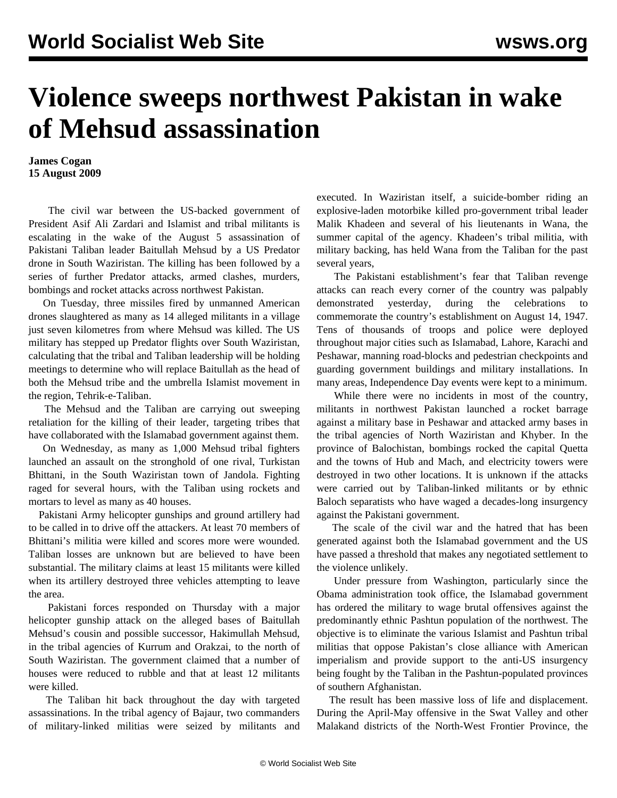## **Violence sweeps northwest Pakistan in wake of Mehsud assassination**

## **James Cogan 15 August 2009**

 The civil war between the US-backed government of President Asif Ali Zardari and Islamist and tribal militants is escalating in the wake of the August 5 assassination of Pakistani Taliban leader Baitullah Mehsud by a US Predator drone in South Waziristan. The killing has been followed by a series of further Predator attacks, armed clashes, murders, bombings and rocket attacks across northwest Pakistan.

 On Tuesday, three missiles fired by unmanned American drones slaughtered as many as 14 alleged militants in a village just seven kilometres from where Mehsud was killed. The US military has stepped up Predator flights over South Waziristan, calculating that the tribal and Taliban leadership will be holding meetings to determine who will replace Baitullah as the head of both the Mehsud tribe and the umbrella Islamist movement in the region, Tehrik-e-Taliban.

 The Mehsud and the Taliban are carrying out sweeping retaliation for the killing of their leader, targeting tribes that have collaborated with the Islamabad government against them.

 On Wednesday, as many as 1,000 Mehsud tribal fighters launched an assault on the stronghold of one rival, Turkistan Bhittani, in the South Waziristan town of Jandola. Fighting raged for several hours, with the Taliban using rockets and mortars to level as many as 40 houses.

 Pakistani Army helicopter gunships and ground artillery had to be called in to drive off the attackers. At least 70 members of Bhittani's militia were killed and scores more were wounded. Taliban losses are unknown but are believed to have been substantial. The military claims at least 15 militants were killed when its artillery destroyed three vehicles attempting to leave the area.

 Pakistani forces responded on Thursday with a major helicopter gunship attack on the alleged bases of Baitullah Mehsud's cousin and possible successor, Hakimullah Mehsud, in the tribal agencies of Kurrum and Orakzai, to the north of South Waziristan. The government claimed that a number of houses were reduced to rubble and that at least 12 militants were killed.

 The Taliban hit back throughout the day with targeted assassinations. In the tribal agency of Bajaur, two commanders of military-linked militias were seized by militants and executed. In Waziristan itself, a suicide-bomber riding an explosive-laden motorbike killed pro-government tribal leader Malik Khadeen and several of his lieutenants in Wana, the summer capital of the agency. Khadeen's tribal militia, with military backing, has held Wana from the Taliban for the past several years,

 The Pakistani establishment's fear that Taliban revenge attacks can reach every corner of the country was palpably demonstrated yesterday, during the celebrations to commemorate the country's establishment on August 14, 1947. Tens of thousands of troops and police were deployed throughout major cities such as Islamabad, Lahore, Karachi and Peshawar, manning road-blocks and pedestrian checkpoints and guarding government buildings and military installations. In many areas, Independence Day events were kept to a minimum.

 While there were no incidents in most of the country, militants in northwest Pakistan launched a rocket barrage against a military base in Peshawar and attacked army bases in the tribal agencies of North Waziristan and Khyber. In the province of Balochistan, bombings rocked the capital Quetta and the towns of Hub and Mach, and electricity towers were destroyed in two other locations. It is unknown if the attacks were carried out by Taliban-linked militants or by ethnic Baloch separatists who have waged a decades-long insurgency against the Pakistani government.

 The scale of the civil war and the hatred that has been generated against both the Islamabad government and the US have passed a threshold that makes any negotiated settlement to the violence unlikely.

 Under pressure from Washington, particularly since the Obama administration took office, the Islamabad government has ordered the military to wage brutal offensives against the predominantly ethnic Pashtun population of the northwest. The objective is to eliminate the various Islamist and Pashtun tribal militias that oppose Pakistan's close alliance with American imperialism and provide support to the anti-US insurgency being fought by the Taliban in the Pashtun-populated provinces of southern Afghanistan.

 The result has been massive loss of life and displacement. During the April-May offensive in the Swat Valley and other Malakand districts of the North-West Frontier Province, the